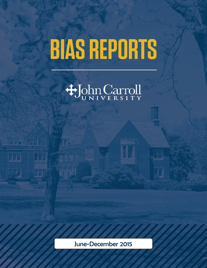# **BIAS REPORTS**



 $\frac{1}{2}$  in  $\frac{1}{2}$ 

77

HE

June-December 2015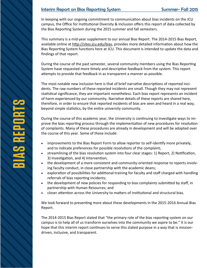# Interim Report on Bias Reporting System Summer- Fall 2015

In keeping with our ongoing commitment to communication about bias incidents on the JCU campus, the Office for Institutional Diversity & Inclusion offers this report of data collected by the Bias Reporting System during the 2015 summer and fall semesters.

This summary is a mid-year supplement to our annual Bias Report. The 2014-2015 Bias Report, available online at [http://sites.jcu.edu/bias,](http://sites.jcu.edu/bias) provides more detailed information about how the Bias Reporting System functions here at JCU. This document is intended to update the data and findings of that report.

During the course of the past semester, several community members using the Bias Reporting System have requested more timely and descriptive feedback from the system. This report attempts to provide that feedback in as transparent a manner as possible.

The most notable new inclusion here is that of brief narrative descriptions of reported incidents. The raw numbers of these reported incidents are small. Though they may not represent statistical significance, they are important nonetheless. Each bias report represents an incident of harm experienced by our community. Narrative details of these reports are shared here, therefore, in order to ensure that reported incidents of bias are seen and heard in a real way, beyond simple statistics, by the entire university community.

During the course of this academic year, the University is continuing to investigate ways to improve the bias reporting process through the implementation of new procedures for resolution of complaints. Many of these procedures are already in development and will be adopted over the course of this year. Some of these include:

- improvements to the Bias Report Form to allow reporter to self-identify more privately, and to indicate preferences for possible resolutions of the complaint;
- streamlining of the bias resolution system into four clear stages: 1) Report, 2) Notification, 3) Investigation, and 4) Intervention;
- the development of a more consistent and community-oriented response to reports involving faculty conduct, in close partnership with the academic deans;
- exploration of possibilities for additional training for faculty and staff charged with handling referrals of bias reporting incidents;
- the development of new policies for responding to bias complaints submitted by staff, in partnership with Human Resources; and
- closer attention across the University to matters of institutional and structural bias.

We look forward to presenting more about these developments in the 2015-2016 Annual Bias Report.

The 2014-2015 Bias Report stated that "the primary role of the bias reporting system on our campus is to help all of us transform ourselves into the community we aspire to be." It is our hope that this interim report continues to serve this stated purpose in a way that is missiondriven, inclusive, and transparent.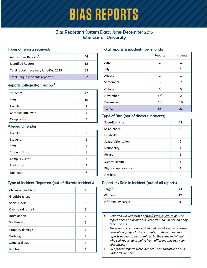# **BIAS REPORTS**

# Bias Reporting System Data, June-December 2015 John Carroll University

#### Types of reports received:

| Anonymous Reports                     | 46 |
|---------------------------------------|----|
| Identified Reports                    | 12 |
| Total reports received, June-Dec 2015 | 58 |
| Total unique incidents reported       | つつ |

# Reports (allegedly) filed by:<sup>2</sup>

| <b>Students</b>       | 42 |
|-----------------------|----|
| Staff                 | 10 |
| Faculty               | ੨  |
| Contract Employee     |    |
| <b>Campus Visitor</b> | າ  |

#### Alleged Offender

| Faculty               |               |
|-----------------------|---------------|
| Student               | 3             |
| Staff                 | 1             |
| <b>Student Group</b>  | 1             |
| <b>Campus Visitor</b> | $\mathcal{P}$ |
| Institution           | 2             |
| Unknown               |               |

# Type of Incident Reported (out of discrete incidents)

| Classroom incident | 7              |
|--------------------|----------------|
| Graffiti/signage   | 4              |
| Social media       | 3              |
| Overheard remark   | 3              |
| Intimidation       | $\overline{2}$ |
| Written slur       | 1              |
| Property damage    | 1              |
| Profiling          | 1              |
| Structural bias    | 1              |
| Not bias           | 1              |

#### Total reports & incidents, per month:

|              | Reports         | Incidents      |
|--------------|-----------------|----------------|
| June         | 1               | 1              |
| July         | $\mathbf{1}$    | 1              |
| August       | $\mathbf{1}$    | 1              |
| September    | 3               | 2              |
| October      | 5               | 5              |
| November     | 37 <sup>3</sup> | $\overline{2}$ |
| December     | 10              | 10             |
| <b>TOTAL</b> | 58              | 22             |

#### Type of Bias (out of discrete incidents)

| Race/Ethnicity             | 11            |
|----------------------------|---------------|
| Sex/Gender                 | 4             |
| Disability                 | 3             |
| Sexual Orientation         | $\mathcal{P}$ |
| Nationality                | 1             |
| Religion                   | 1             |
| <b>Mental Health</b>       | 1             |
| <b>Physical Appearance</b> | 1             |
| Not bias                   | 2             |

#### Reporter's Role in Incident (out of all reports)

| Target             | 43 |
|--------------------|----|
| Witness            | 12 |
| Informed by Target |    |

- *1. Reported via webform at [http://sites.jcu.edu/bias.](http://sites.jcu.edu/bias) This report does not include bias reports made in person or by other means.*
- *2. These numbers are unverified and based on the reporting person's self-report. For example, multiple anonymous reports appear to be submitted by the same individual who self-reported as being from different university constituencies.*
- *3. 36 of these reports were identical. See narrative on p. 4 under "November."*